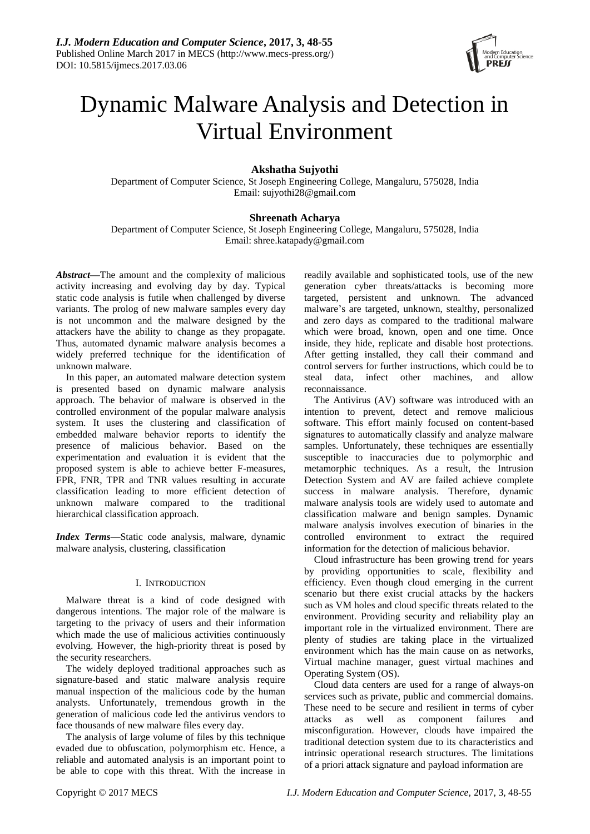

# Dynamic Malware Analysis and Detection in Virtual Environment

## **Akshatha Sujyothi**

Department of Computer Science, St Joseph Engineering College, Mangaluru, 575028, India Email: sujyothi28@gmail.com

## **Shreenath Acharya**

Department of Computer Science, St Joseph Engineering College, Mangaluru, 575028, India Email: shree.katapady@gmail.com

*Abstract***—**The amount and the complexity of malicious activity increasing and evolving day by day. Typical static code analysis is futile when challenged by diverse variants. The prolog of new malware samples every day is not uncommon and the malware designed by the attackers have the ability to change as they propagate. Thus, automated dynamic malware analysis becomes a widely preferred technique for the identification of unknown malware.

In this paper, an automated malware detection system is presented based on dynamic malware analysis approach. The behavior of malware is observed in the controlled environment of the popular malware analysis system. It uses the clustering and classification of embedded malware behavior reports to identify the presence of malicious behavior. Based on the experimentation and evaluation it is evident that the proposed system is able to achieve better F-measures, FPR, FNR, TPR and TNR values resulting in accurate classification leading to more efficient detection of unknown malware compared to the traditional hierarchical classification approach.

*Index Terms***—**Static code analysis, malware, dynamic malware analysis, clustering, classification

## I. INTRODUCTION

Malware threat is a kind of code designed with dangerous intentions. The major role of the malware is targeting to the privacy of users and their information which made the use of malicious activities continuously evolving. However, the high-priority threat is posed by the security researchers.

The widely deployed traditional approaches such as signature-based and static malware analysis require manual inspection of the malicious code by the human analysts. Unfortunately, tremendous growth in the generation of malicious code led the antivirus vendors to face thousands of new malware files every day.

The analysis of large volume of files by this technique evaded due to obfuscation, polymorphism etc. Hence, a reliable and automated analysis is an important point to be able to cope with this threat. With the increase in

readily available and sophisticated tools, use of the new generation cyber threats/attacks is becoming more targeted, persistent and unknown. The advanced malware's are targeted, unknown, stealthy, personalized and zero days as compared to the traditional malware which were broad, known, open and one time. Once inside, they hide, replicate and disable host protections. After getting installed, they call their command and control servers for further instructions, which could be to steal data, infect other machines, and allow reconnaissance.

The Antivirus (AV) software was introduced with an intention to prevent, detect and remove malicious software. This effort mainly focused on content-based signatures to automatically classify and analyze malware samples. Unfortunately, these techniques are essentially susceptible to inaccuracies due to polymorphic and metamorphic techniques. As a result, the Intrusion Detection System and AV are failed achieve complete success in malware analysis. Therefore, dynamic malware analysis tools are widely used to automate and classification malware and benign samples. Dynamic malware analysis involves execution of binaries in the controlled environment to extract the required information for the detection of malicious behavior.

Cloud infrastructure has been growing trend for years by providing opportunities to scale, flexibility and efficiency. Even though cloud emerging in the current scenario but there exist crucial attacks by the hackers such as VM holes and cloud specific threats related to the environment. Providing security and reliability play an important role in the virtualized environment. There are plenty of studies are taking place in the virtualized environment which has the main cause on as networks, Virtual machine manager, guest virtual machines and Operating System (OS).

Cloud data centers are used for a range of always-on services such as private, public and commercial domains. These need to be secure and resilient in terms of cyber attacks as well as component failures and misconfiguration. However, clouds have impaired the traditional detection system due to its characteristics and intrinsic operational research structures. The limitations of a priori attack signature and payload information are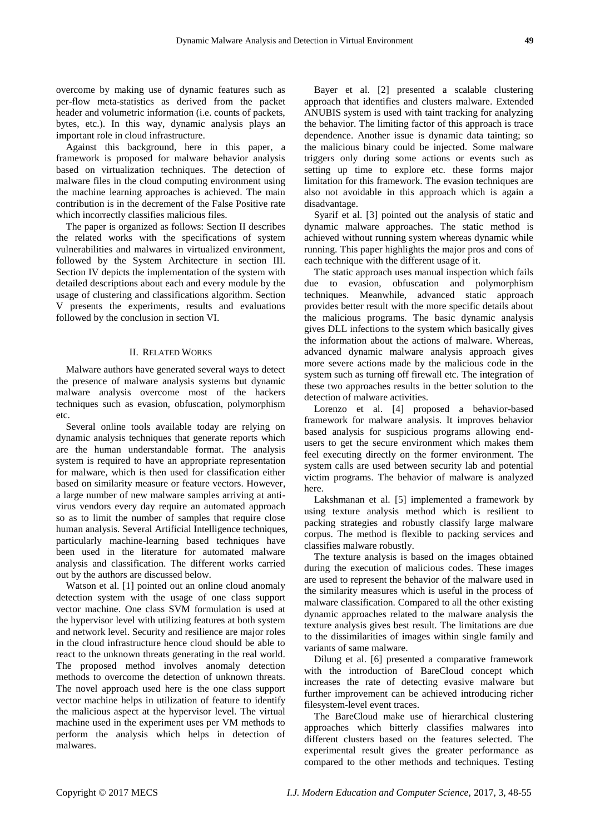overcome by making use of dynamic features such as per-flow meta-statistics as derived from the packet header and volumetric information (i.e. counts of packets, bytes, etc.). In this way, dynamic analysis plays an important role in cloud infrastructure.

Against this background, here in this paper, a framework is proposed for malware behavior analysis based on virtualization techniques. The detection of malware files in the cloud computing environment using the machine learning approaches is achieved. The main contribution is in the decrement of the False Positive rate which incorrectly classifies malicious files.

The paper is organized as follows: Section II describes the related works with the specifications of system vulnerabilities and malwares in virtualized environment, followed by the System Architecture in section III. Section IV depicts the implementation of the system with detailed descriptions about each and every module by the usage of clustering and classifications algorithm. Section V presents the experiments, results and evaluations followed by the conclusion in section VI.

## II. RELATED WORKS

Malware authors have generated several ways to detect the presence of malware analysis systems but dynamic malware analysis overcome most of the hackers techniques such as evasion, obfuscation, polymorphism etc.

Several online tools available today are relying on dynamic analysis techniques that generate reports which are the human understandable format. The analysis system is required to have an appropriate representation for malware, which is then used for classification either based on similarity measure or feature vectors. However, a large number of new malware samples arriving at antivirus vendors every day require an automated approach so as to limit the number of samples that require close human analysis. Several Artificial Intelligence techniques, particularly machine-learning based techniques have been used in the literature for automated malware analysis and classification. The different works carried out by the authors are discussed below.

Watson et al. [1] pointed out an online cloud anomaly detection system with the usage of one class support vector machine. One class SVM formulation is used at the hypervisor level with utilizing features at both system and network level. Security and resilience are major roles in the cloud infrastructure hence cloud should be able to react to the unknown threats generating in the real world. The proposed method involves anomaly detection methods to overcome the detection of unknown threats. The novel approach used here is the one class support vector machine helps in utilization of feature to identify the malicious aspect at the hypervisor level. The virtual machine used in the experiment uses per VM methods to perform the analysis which helps in detection of malwares.

Bayer et al. [2] presented a scalable clustering approach that identifies and clusters malware. Extended ANUBIS system is used with taint tracking for analyzing the behavior. The limiting factor of this approach is trace dependence. Another issue is dynamic data tainting; so the malicious binary could be injected. Some malware triggers only during some actions or events such as setting up time to explore etc. these forms major limitation for this framework. The evasion techniques are also not avoidable in this approach which is again a disadvantage.

Syarif et al. [3] pointed out the analysis of static and dynamic malware approaches. The static method is achieved without running system whereas dynamic while running. This paper highlights the major pros and cons of each technique with the different usage of it.

The static approach uses manual inspection which fails due to evasion, obfuscation and polymorphism techniques. Meanwhile, advanced static approach provides better result with the more specific details about the malicious programs. The basic dynamic analysis gives DLL infections to the system which basically gives the information about the actions of malware. Whereas, advanced dynamic malware analysis approach gives more severe actions made by the malicious code in the system such as turning off firewall etc. The integration of these two approaches results in the better solution to the detection of malware activities.

Lorenzo et al. [4] proposed a behavior-based framework for malware analysis. It improves behavior based analysis for suspicious programs allowing endusers to get the secure environment which makes them feel executing directly on the former environment. The system calls are used between security lab and potential victim programs. The behavior of malware is analyzed here.

Lakshmanan et al. [5] implemented a framework by using texture analysis method which is resilient to packing strategies and robustly classify large malware corpus. The method is flexible to packing services and classifies malware robustly.

The texture analysis is based on the images obtained during the execution of malicious codes. These images are used to represent the behavior of the malware used in the similarity measures which is useful in the process of malware classification. Compared to all the other existing dynamic approaches related to the malware analysis the texture analysis gives best result. The limitations are due to the dissimilarities of images within single family and variants of same malware.

Dilung et al. [6] presented a comparative framework with the introduction of BareCloud concept which increases the rate of detecting evasive malware but further improvement can be achieved introducing richer filesystem-level event traces.

The BareCloud make use of hierarchical clustering approaches which bitterly classifies malwares into different clusters based on the features selected. The experimental result gives the greater performance as compared to the other methods and techniques. Testing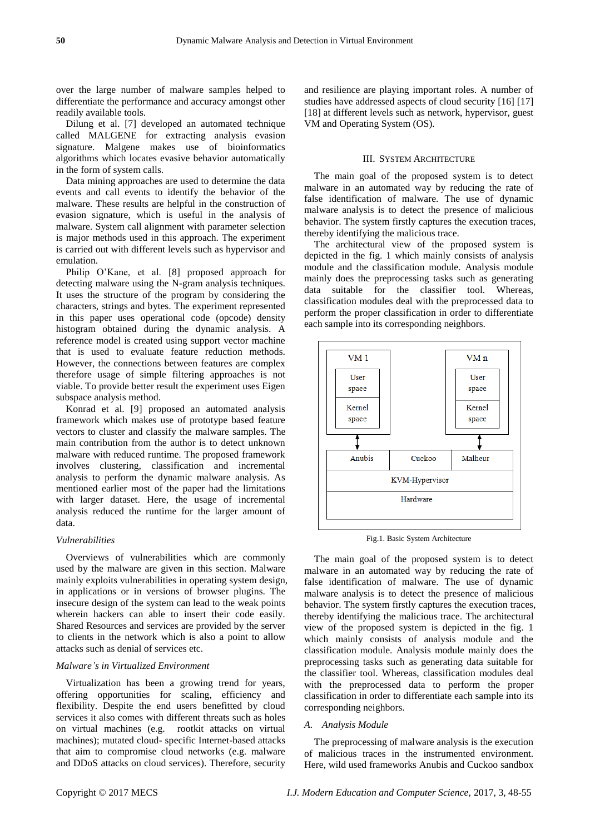over the large number of malware samples helped to differentiate the performance and accuracy amongst other readily available tools.

Dilung et al. [7] developed an automated technique called MALGENE for extracting analysis evasion signature. Malgene makes use of bioinformatics algorithms which locates evasive behavior automatically in the form of system calls.

Data mining approaches are used to determine the data events and call events to identify the behavior of the malware. These results are helpful in the construction of evasion signature, which is useful in the analysis of malware. System call alignment with parameter selection is major methods used in this approach. The experiment is carried out with different levels such as hypervisor and emulation.

Philip O'Kane, et al. [8] proposed approach for detecting malware using the N-gram analysis techniques. It uses the structure of the program by considering the characters, strings and bytes. The experiment represented in this paper uses operational code (opcode) density histogram obtained during the dynamic analysis. A reference model is created using support vector machine that is used to evaluate feature reduction methods. However, the connections between features are complex therefore usage of simple filtering approaches is not viable. To provide better result the experiment uses Eigen subspace analysis method.

Konrad et al. [9] proposed an automated analysis framework which makes use of prototype based feature vectors to cluster and classify the malware samples. The main contribution from the author is to detect unknown malware with reduced runtime. The proposed framework involves clustering, classification and incremental analysis to perform the dynamic malware analysis. As mentioned earlier most of the paper had the limitations with larger dataset. Here, the usage of incremental analysis reduced the runtime for the larger amount of data.

## *Vulnerabilities*

Overviews of vulnerabilities which are commonly used by the malware are given in this section. Malware mainly exploits vulnerabilities in operating system design, in applications or in versions of browser plugins. The insecure design of the system can lead to the weak points wherein hackers can able to insert their code easily. Shared Resources and services are provided by the server to clients in the network which is also a point to allow attacks such as denial of services etc.

## *Malware's in Virtualized Environment*

Virtualization has been a growing trend for years, offering opportunities for scaling, efficiency and flexibility. Despite the end users benefitted by cloud services it also comes with different threats such as holes on virtual machines (e.g. rootkit attacks on virtual machines); mutated cloud- specific Internet-based attacks that aim to compromise cloud networks (e.g. malware and DDoS attacks on cloud services). Therefore, security

and resilience are playing important roles. A number of studies have addressed aspects of cloud security [16] [17] [18] at different levels such as network, hypervisor, guest VM and Operating System (OS).

## III. SYSTEM ARCHITECTURE

The main goal of the proposed system is to detect malware in an automated way by reducing the rate of false identification of malware. The use of dynamic malware analysis is to detect the presence of malicious behavior. The system firstly captures the execution traces, thereby identifying the malicious trace.

The architectural view of the proposed system is depicted in the fig. 1 which mainly consists of analysis module and the classification module. Analysis module mainly does the preprocessing tasks such as generating data suitable for the classifier tool. Whereas, classification modules deal with the preprocessed data to perform the proper classification in order to differentiate each sample into its corresponding neighbors.



Fig.1. Basic System Architecture

The main goal of the proposed system is to detect malware in an automated way by reducing the rate of false identification of malware. The use of dynamic malware analysis is to detect the presence of malicious behavior. The system firstly captures the execution traces, thereby identifying the malicious trace. The architectural view of the proposed system is depicted in the fig. 1 which mainly consists of analysis module and the classification module. Analysis module mainly does the preprocessing tasks such as generating data suitable for the classifier tool. Whereas, classification modules deal with the preprocessed data to perform the proper classification in order to differentiate each sample into its corresponding neighbors.

#### *A. Analysis Module*

The preprocessing of malware analysis is the execution of malicious traces in the instrumented environment. Here, wild used frameworks Anubis and Cuckoo sandbox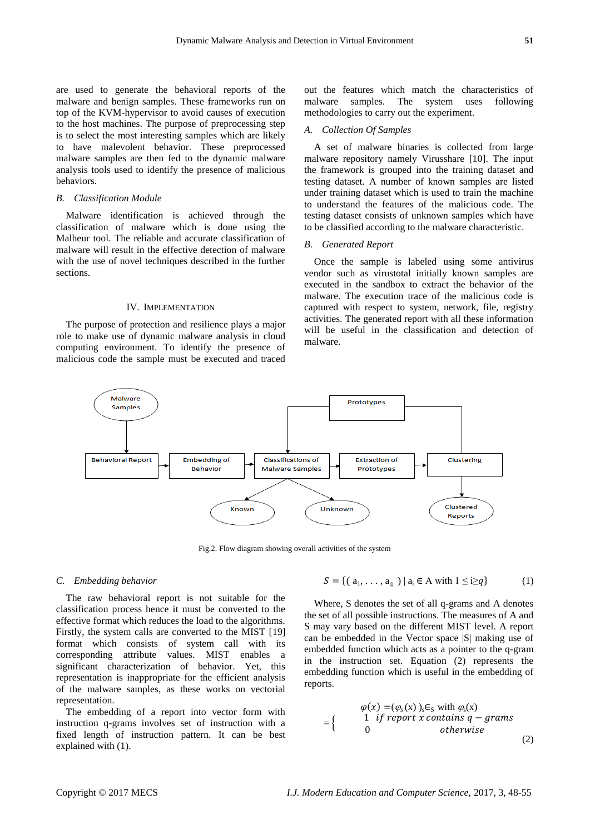are used to generate the behavioral reports of the malware and benign samples. These frameworks run on top of the KVM-hypervisor to avoid causes of execution to the host machines. The purpose of preprocessing step is to select the most interesting samples which are likely to have malevolent behavior. These preprocessed malware samples are then fed to the dynamic malware analysis tools used to identify the presence of malicious behaviors.

## *B. Classification Module*

Malware identification is achieved through the classification of malware which is done using the Malheur tool. The reliable and accurate classification of malware will result in the effective detection of malware with the use of novel techniques described in the further sections.

### IV. IMPLEMENTATION

The purpose of protection and resilience plays a major role to make use of dynamic malware analysis in cloud computing environment. To identify the presence of malicious code the sample must be executed and traced out the features which match the characteristics of malware samples. The system uses following methodologies to carry out the experiment.

#### *A. Collection Of Samples*

A set of malware binaries is collected from large malware repository namely Virusshare [10]. The input the framework is grouped into the training dataset and testing dataset. A number of known samples are listed under training dataset which is used to train the machine to understand the features of the malicious code. The testing dataset consists of unknown samples which have to be classified according to the malware characteristic.

#### *B. Generated Report*

Once the sample is labeled using some antivirus vendor such as virustotal initially known samples are executed in the sandbox to extract the behavior of the malware. The execution trace of the malicious code is captured with respect to system, network, file, registry activities. The generated report with all these information will be useful in the classification and detection of malware.



Fig.2. Flow diagram showing overall activities of the system

#### *C. Embedding behavior*

The raw behavioral report is not suitable for the classification process hence it must be converted to the effective format which reduces the load to the algorithms. Firstly, the system calls are converted to the MIST [19] format which consists of system call with its corresponding attribute values. MIST enables a significant characterization of behavior. Yet, this representation is inappropriate for the efficient analysis of the malware samples, as these works on vectorial representation.

The embedding of a report into vector form with instruction q-grams involves set of instruction with a fixed length of instruction pattern. It can be best explained with (1).

$$
S = \{ (a_1, \ldots, a_q) \mid a_i \in A \text{ with } 1 \le i \ge q \}
$$
 (1)

Where, S denotes the set of all q-grams and A denotes the set of all possible instructions. The measures of A and S may vary based on the different MIST level. A report can be embedded in the Vector space |S| making use of embedded function which acts as a pointer to the q-gram in the instruction set. Equation (2) represents the embedding function which is useful in the embedding of reports.

$$
\varphi(x) = (\varphi_s(x))_s \in_S \text{ with } \varphi_s(x)
$$
  
=\n
$$
\begin{cases}\n1 & \text{if report } x \text{ contains } q - \text{grams} \\
0 & \text{otherwise}\n\end{cases}
$$
\n(2)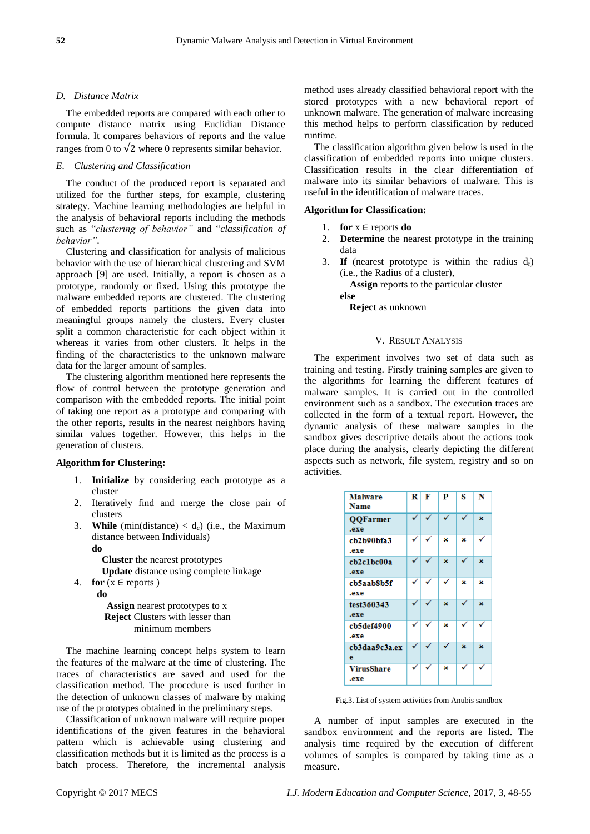## *D. Distance Matrix*

The embedded reports are compared with each other to compute distance matrix using Euclidian Distance formula. It compares behaviors of reports and the value ranges from 0 to  $\sqrt{2}$  where 0 represents similar behavior.

## *E. Clustering and Classification*

The conduct of the produced report is separated and utilized for the further steps, for example, clustering strategy. Machine learning methodologies are helpful in the analysis of behavioral reports including the methods such as "*clustering of behavior"* and "*classification of behavior"*.

Clustering and classification for analysis of malicious behavior with the use of hierarchical clustering and SVM approach [9] are used. Initially, a report is chosen as a prototype, randomly or fixed. Using this prototype the malware embedded reports are clustered. The clustering of embedded reports partitions the given data into meaningful groups namely the clusters. Every cluster split a common characteristic for each object within it whereas it varies from other clusters. It helps in the finding of the characteristics to the unknown malware data for the larger amount of samples.

The clustering algorithm mentioned here represents the flow of control between the prototype generation and comparison with the embedded reports. The initial point of taking one report as a prototype and comparing with the other reports, results in the nearest neighbors having similar values together. However, this helps in the generation of clusters.

## **Algorithm for Clustering:**

- 1. **Initialize** by considering each prototype as a cluster
- 2. Iteratively find and merge the close pair of clusters
- 3. **While** (min(distance)  $< d_c$ ) (i.e., the Maximum distance between Individuals) **do**

 **Cluster** the nearest prototypes  **Update** distance using complete linkage

4. **for**  $(x \in$  reports )

 **do**

 **Assign** nearest prototypes to x  **Reject** Clusters with lesser than minimum members

The machine learning concept helps system to learn the features of the malware at the time of clustering. The traces of characteristics are saved and used for the classification method. The procedure is used further in the detection of unknown classes of malware by making use of the prototypes obtained in the preliminary steps.

Classification of unknown malware will require proper identifications of the given features in the behavioral pattern which is achievable using clustering and classification methods but it is limited as the process is a batch process. Therefore, the incremental analysis

method uses already classified behavioral report with the stored prototypes with a new behavioral report of unknown malware. The generation of malware increasing this method helps to perform classification by reduced runtime.

The classification algorithm given below is used in the classification of embedded reports into unique clusters. Classification results in the clear differentiation of malware into its similar behaviors of malware. This is useful in the identification of malware traces.

## **Algorithm for Classification:**

- 1. **for**  $x \in$  reports **do**
- 2. **Determine** the nearest prototype in the training data
- 3. **If** (nearest prototype is within the radius  $d_r$ ) (i.e., the Radius of a cluster),

 **Assign** reports to the particular cluster

**else**

**Reject** as unknown

## V. RESULT ANALYSIS

The experiment involves two set of data such as training and testing. Firstly training samples are given to the algorithms for learning the different features of malware samples. It is carried out in the controlled environment such as a sandbox. The execution traces are collected in the form of a textual report. However, the dynamic analysis of these malware samples in the sandbox gives descriptive details about the actions took place during the analysis, clearly depicting the different aspects such as network, file system, registry and so on activities.

| <b>Malware</b><br><b>Name</b> | R | F | P  | s  | N  |
|-------------------------------|---|---|----|----|----|
| <b>QQFarmer</b><br>.exe       |   |   |    | ✓  | 3Ł |
| cb2b90bfa3<br>.exe            | ✓ | ✓ | x  | x  | ✓  |
| cb2c1bc00a<br>.exe            |   | ✓ | 3c | ✓  | 3Ł |
| cb5aab8b5f<br>.exe            | ✓ |   | ✓  | x  | x  |
| test360343<br>.exe            |   | ✓ | 3c | ✓  | 3£ |
| cb5def4900<br>.exe            | ✓ |   | x  |    |    |
| cb3daa9c3a.ex<br>e            |   |   |    | 3Ł | 3Ł |
| <b>VirusShare</b><br>.exe     | ✓ | ✓ | x  |    | ✓  |

Fig.3. List of system activities from Anubis sandbox

A number of input samples are executed in the sandbox environment and the reports are listed. The analysis time required by the execution of different volumes of samples is compared by taking time as a measure.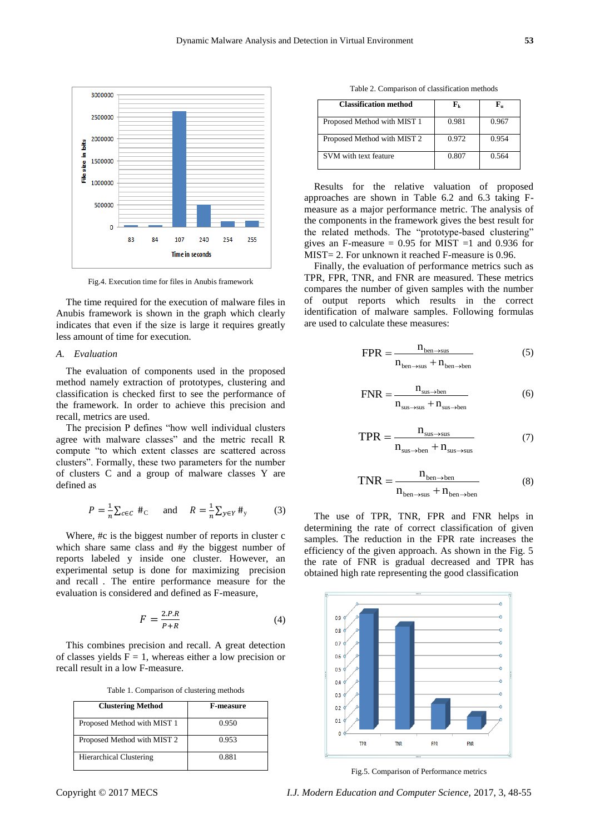

Fig.4. Execution time for files in Anubis framework

The time required for the execution of malware files in Anubis framework is shown in the graph which clearly indicates that even if the size is large it requires greatly less amount of time for execution.

## *A. Evaluation*

The evaluation of components used in the proposed method namely extraction of prototypes, clustering and classification is checked first to see the performance of the framework. In order to achieve this precision and recall, metrics are used.

The precision P defines "how well individual clusters agree with malware classes" and the metric recall R compute "to which extent classes are scattered across clusters". Formally, these two parameters for the number of clusters C and a group of malware classes Y are defined as

$$
P = \frac{1}{n} \sum_{c \in C} #_{\text{C}} \quad \text{and} \quad R = \frac{1}{n} \sum_{y \in Y} #_{y} \tag{3}
$$

Where, #c is the biggest number of reports in cluster c which share same class and #y the biggest number of reports labeled y inside one cluster. However, an experimental setup is done for maximizing precision and recall. The entire performance measure for the evaluation is considered and defined as F-measure,

$$
F = \frac{2.P.R}{P+R} \tag{4}
$$

This combines precision and recall. A great detection of classes yields  $F = 1$ , whereas either a low precision or recall result in a low F-measure.

Table 1. Comparison of clustering methods

| <b>Clustering Method</b>       | <b>F-measure</b> |  |  |
|--------------------------------|------------------|--|--|
| Proposed Method with MIST 1    | 0.950            |  |  |
| Proposed Method with MIST 2    | 0.953            |  |  |
| <b>Hierarchical Clustering</b> | 0.881            |  |  |

Table 2. Comparison of classification methods

| <b>Classification method</b> | ${\bf F}_{\bf k}$ | F.    |
|------------------------------|-------------------|-------|
| Proposed Method with MIST 1  | 0.981             | 0.967 |
| Proposed Method with MIST 2  | 0.972             | 0.954 |
| SVM with text feature        | 0.807             | 0.564 |

Results for the relative valuation of proposed approaches are shown in Table 6.2 and 6.3 taking Fmeasure as a major performance metric. The analysis of the components in the framework gives the best result for the related methods. The "prototype-based clustering" gives an F-measure =  $0.95$  for MIST =1 and 0.936 for MIST= 2. For unknown it reached F-measure is 0.96.

Finally, the evaluation of performance metrics such as TPR, FPR, TNR, and FNR are measured. These metrics compares the number of given samples with the number of output reports which results in the correct identification of malware samples. Following formulas are used to calculate these measures:

$$
FPR = \frac{n_{\text{ben}\to\text{sus}}}{n_{\text{ben}\to\text{sus}} + n_{\text{ben}\to\text{ben}}}
$$
(5)

$$
FNR = \frac{n_{\text{sus}\to \text{ben}}}{n_{\text{sus}\to \text{sus}} + n_{\text{sus}\to \text{ben}}}
$$
(6)

$$
TPR = \frac{n_{\text{sus}\to\text{sus}}}{n_{\text{sus}\to\text{ben}} + n_{\text{sus}\to\text{sus}}}
$$
(7)

$$
TNR = \frac{n_{\text{ben}\to\text{ben}}}{n_{\text{ben}\to\text{sus}} + n_{\text{ben}\to\text{ben}}}
$$
(8)

The use of TPR, TNR, FPR and FNR helps in determining the rate of correct classification of given samples. The reduction in the FPR rate increases the efficiency of the given approach. As shown in the Fig. 5 the rate of FNR is gradual decreased and TPR has obtained high rate representing the good classification



Fig.5. Comparison of Performance metrics

Copyright © 2017 MECS *I.J. Modern Education and Computer Science,* 2017, 3, 48-55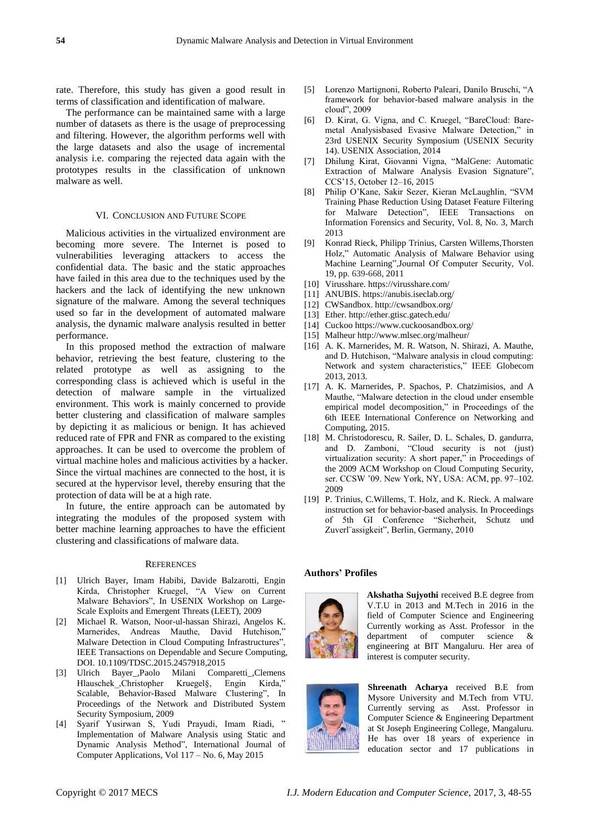rate. Therefore, this study has given a good result in terms of classification and identification of malware.

The performance can be maintained same with a large number of datasets as there is the usage of preprocessing and filtering. However, the algorithm performs well with the large datasets and also the usage of incremental analysis i.e. comparing the rejected data again with the prototypes results in the classification of unknown malware as well.

## VI. CONCLUSION AND FUTURE SCOPE

Malicious activities in the virtualized environment are becoming more severe. The Internet is posed to vulnerabilities leveraging attackers to access the confidential data. The basic and the static approaches have failed in this area due to the techniques used by the hackers and the lack of identifying the new unknown signature of the malware. Among the several techniques used so far in the development of automated malware analysis, the dynamic malware analysis resulted in better performance.

In this proposed method the extraction of malware behavior, retrieving the best feature, clustering to the related prototype as well as assigning to the corresponding class is achieved which is useful in the detection of malware sample in the virtualized environment. This work is mainly concerned to provide better clustering and classification of malware samples by depicting it as malicious or benign. It has achieved reduced rate of FPR and FNR as compared to the existing approaches. It can be used to overcome the problem of virtual machine holes and malicious activities by a hacker. Since the virtual machines are connected to the host, it is secured at the hypervisor level, thereby ensuring that the protection of data will be at a high rate.

In future, the entire approach can be automated by integrating the modules of the proposed system with better machine learning approaches to have the efficient clustering and classifications of malware data.

#### **REFERENCES**

- [1] Ulrich Bayer, Imam Habibi, Davide Balzarotti, Engin Kirda, Christopher Kruegel, "A View on Current Malware Behaviors", In USENIX Workshop on Large-Scale Exploits and Emergent Threats (LEET), 2009
- [2] Michael R. Watson, Noor-ul-hassan Shirazi, Angelos K. Marnerides, Andreas Mauthe, David Hutchison," Malware Detection in Cloud Computing Infrastructures", IEEE Transactions on Dependable and Secure Computing, DOI. 10.1109/TDSC.2015.2457918,2015
- [3] Ulrich Bayer\_,Paolo Milani Comparetti\_,Clemens Hlauschek ,Christopher Kruegel§, Engin Kirda," Scalable, Behavior-Based Malware Clustering", In Proceedings of the Network and Distributed System Security Symposium, 2009
- [4] Syarif Yusirwan S, Yudi Prayudi, Imam Riadi, " Implementation of Malware Analysis using Static and Dynamic Analysis Method", International Journal of Computer Applications, Vol 117 – No. 6, May 2015
- [5] Lorenzo Martignoni, Roberto Paleari, Danilo Bruschi, "A framework for behavior-based malware analysis in the cloud", 2009
- [6] D. Kirat, G. Vigna, and C. Kruegel, "BareCloud: Baremetal Analysisbased Evasive Malware Detection," in 23rd USENIX Security Symposium (USENIX Security 14). USENIX Association, 2014
- [7] Dhilung Kirat, Giovanni Vigna, "MalGene: Automatic Extraction of Malware Analysis Evasion Signature", CCS'15, October 12–16, 2015
- [8] Philip O'Kane, Sakir Sezer, Kieran McLaughlin, "SVM Training Phase Reduction Using Dataset Feature Filtering for Malware Detection", IEEE Transactions on Information Forensics and Security, Vol. 8, No. 3, March 2013
- [9] Konrad Rieck, Philipp Trinius, Carsten Willems,Thorsten Holz," Automatic Analysis of Malware Behavior using Machine Learning",Journal Of Computer Security, Vol. 19, pp. 639-668, 2011
- [10] Virusshare. https://virusshare.com/
- [11] ANUBIS.<https://anubis.iseclab.org/>
- [12] CWSandbox. http://cwsandbox.org/
- [13] Ether. http://ether.gtisc.gatech.edu/
- [14] Cucko[o https://www.cuckoosandbox.org/](https://www.cuckoosandbox.org/)
- [15] Malheur<http://www.mlsec.org/malheur/>
- [16] A. K. Marnerides, M. R. Watson, N. Shirazi, A. Mauthe, and D. Hutchison, "Malware analysis in cloud computing: Network and system characteristics," IEEE Globecom 2013, 2013.
- [17] A. K. Marnerides, P. Spachos, P. Chatzimisios, and A Mauthe, "Malware detection in the cloud under ensemble empirical model decomposition," in Proceedings of the 6th IEEE International Conference on Networking and Computing, 2015.
- [18] M. Christodorescu, R. Sailer, D. L. Schales, D. gandurra, and D. Zamboni, "Cloud security is not (just) virtualization security: A short paper," in Proceedings of the 2009 ACM Workshop on Cloud Computing Security, ser. CCSW '09. New York, NY, USA: ACM, pp. 97–102. 2009
- [19] P. Trinius, C. Willems, T. Holz, and K. Rieck. A malware instruction set for behavior-based analysis. In Proceedings of 5th GI Conference "Sicherheit, Schutz und Zuverl¨assigkeit", Berlin, Germany, 2010

#### **Authors' Profiles**



**Akshatha Sujyothi** received B.E degree from V.T.U in 2013 and M.Tech in 2016 in the field of Computer Science and Engineering Currently working as Asst. Professor in the department of computer science & engineering at BIT Mangaluru. Her area of interest is computer security.



**Shreenath Acharya** received B.E from Mysore University and M.Tech from VTU. Currently serving as Asst. Professor in Computer Science & Engineering Department at St Joseph Engineering College, Mangaluru. He has over 18 years of experience in education sector and 17 publications in